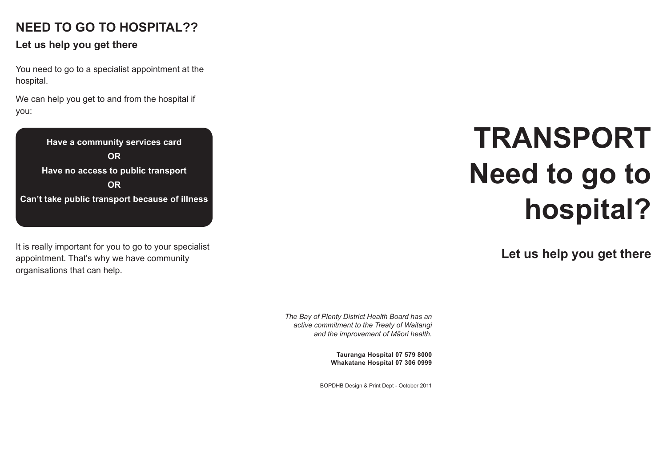# **NEED TO GO TO HOSPITAL??**

**Let us help you get there**

You need to go to a specialist appointment at the hospital.

We can help you get to and from the hospital if you:

**Have a community services card OR Have no access to public transport OR Can't take public transport because of illness**

It is really important for you to go to your specialist appointment. That's why we have community organisations that can help.

# **TRANSPORT Need to go to hospital?**

**Let us help you get there**

*The Bay of Plenty District Health Board has an active commitment to the Treaty of Waitangi and the improvement of Māori health.*

> **Tauranga Hospital 07 579 8000 Whakatane Hospital 07 306 0999**

BOPDHB Design & Print Dept - October 2011